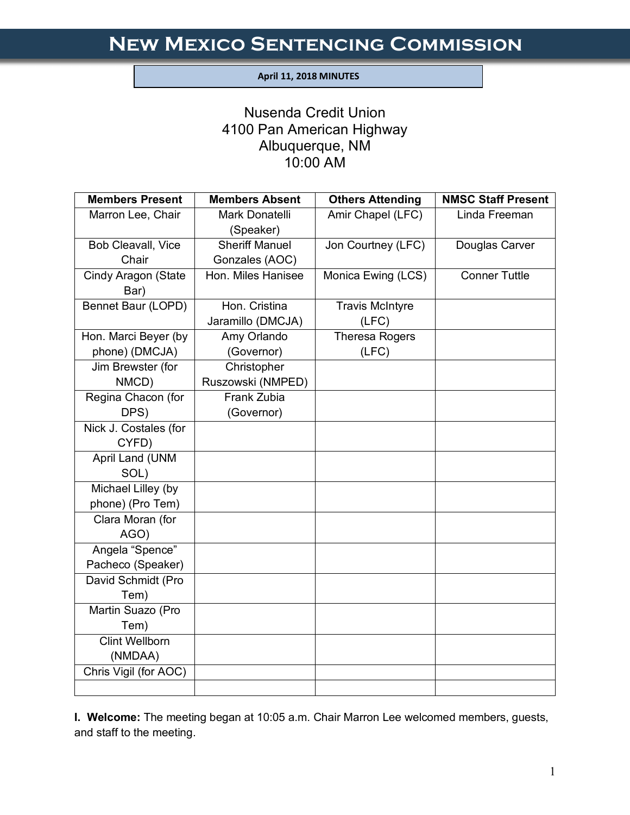#### **April 11, 2018 MINUTES**

I

# Nusenda Credit Union 4100 Pan American Highway Albuquerque, NM 10:00 AM

| <b>Members Present</b> | <b>Members Absent</b>       | <b>Others Attending</b> | <b>NMSC Staff Present</b> |
|------------------------|-----------------------------|-------------------------|---------------------------|
| Marron Lee, Chair      | Mark Donatelli<br>(Speaker) | Amir Chapel (LFC)       | Linda Freeman             |
| Bob Cleavall, Vice     | <b>Sheriff Manuel</b>       | Jon Courtney (LFC)      | Douglas Carver            |
| Chair                  | Gonzales (AOC)              |                         |                           |
| Cindy Aragon (State    | Hon. Miles Hanisee          | Monica Ewing (LCS)      | <b>Conner Tuttle</b>      |
| Bar)                   |                             |                         |                           |
| Bennet Baur (LOPD)     | Hon. Cristina               | <b>Travis McIntyre</b>  |                           |
|                        | Jaramillo (DMCJA)           | (LFC)                   |                           |
| Hon. Marci Beyer (by   | Amy Orlando                 | <b>Theresa Rogers</b>   |                           |
| phone) (DMCJA)         | (Governor)                  | (LFC)                   |                           |
| Jim Brewster (for      | Christopher                 |                         |                           |
| NMCD)                  | Ruszowski (NMPED)           |                         |                           |
| Regina Chacon (for     | Frank Zubia                 |                         |                           |
| DPS)                   | (Governor)                  |                         |                           |
| Nick J. Costales (for  |                             |                         |                           |
| CYFD)                  |                             |                         |                           |
| April Land (UNM        |                             |                         |                           |
| SOL)                   |                             |                         |                           |
| Michael Lilley (by     |                             |                         |                           |
| phone) (Pro Tem)       |                             |                         |                           |
| Clara Moran (for       |                             |                         |                           |
| AGO)                   |                             |                         |                           |
| Angela "Spence"        |                             |                         |                           |
| Pacheco (Speaker)      |                             |                         |                           |
| David Schmidt (Pro     |                             |                         |                           |
| Tem)                   |                             |                         |                           |
| Martin Suazo (Pro      |                             |                         |                           |
| Tem)                   |                             |                         |                           |
| <b>Clint Wellborn</b>  |                             |                         |                           |
| (NMDAA)                |                             |                         |                           |
| Chris Vigil (for AOC)  |                             |                         |                           |
|                        |                             |                         |                           |

**I. Welcome:** The meeting began at 10:05 a.m. Chair Marron Lee welcomed members, guests, and staff to the meeting.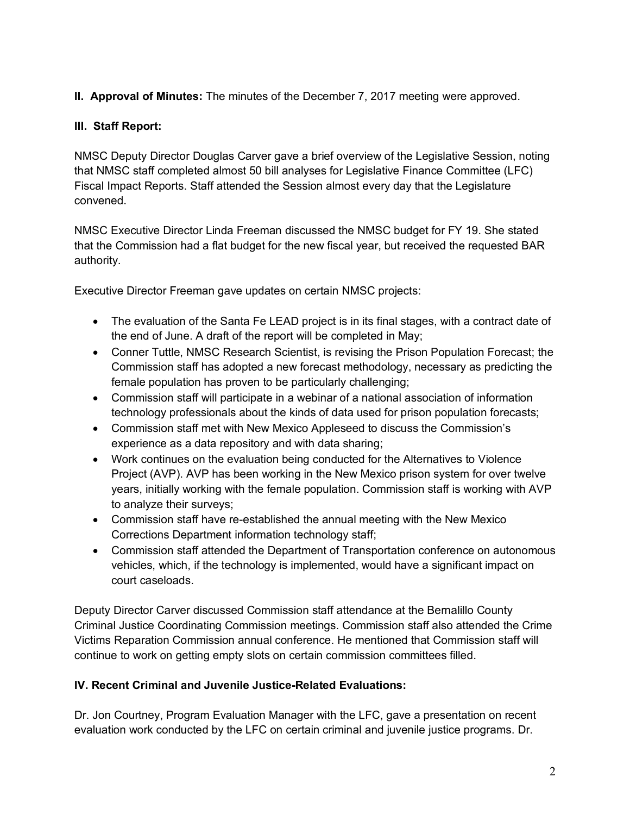# **II. Approval of Minutes:** The minutes of the December 7, 2017 meeting were approved.

### **III. Staff Report:**

NMSC Deputy Director Douglas Carver gave a brief overview of the Legislative Session, noting that NMSC staff completed almost 50 bill analyses for Legislative Finance Committee (LFC) Fiscal Impact Reports. Staff attended the Session almost every day that the Legislature convened.

NMSC Executive Director Linda Freeman discussed the NMSC budget for FY 19. She stated that the Commission had a flat budget for the new fiscal year, but received the requested BAR authority.

Executive Director Freeman gave updates on certain NMSC projects:

- The evaluation of the Santa Fe LEAD project is in its final stages, with a contract date of the end of June. A draft of the report will be completed in May;
- Conner Tuttle, NMSC Research Scientist, is revising the Prison Population Forecast; the Commission staff has adopted a new forecast methodology, necessary as predicting the female population has proven to be particularly challenging;
- Commission staff will participate in a webinar of a national association of information technology professionals about the kinds of data used for prison population forecasts;
- Commission staff met with New Mexico Appleseed to discuss the Commission's experience as a data repository and with data sharing;
- Work continues on the evaluation being conducted for the Alternatives to Violence Project (AVP). AVP has been working in the New Mexico prison system for over twelve years, initially working with the female population. Commission staff is working with AVP to analyze their surveys;
- Commission staff have re-established the annual meeting with the New Mexico Corrections Department information technology staff;
- Commission staff attended the Department of Transportation conference on autonomous vehicles, which, if the technology is implemented, would have a significant impact on court caseloads.

Deputy Director Carver discussed Commission staff attendance at the Bernalillo County Criminal Justice Coordinating Commission meetings. Commission staff also attended the Crime Victims Reparation Commission annual conference. He mentioned that Commission staff will continue to work on getting empty slots on certain commission committees filled.

#### **IV. Recent Criminal and Juvenile Justice-Related Evaluations:**

Dr. Jon Courtney, Program Evaluation Manager with the LFC, gave a presentation on recent evaluation work conducted by the LFC on certain criminal and juvenile justice programs. Dr.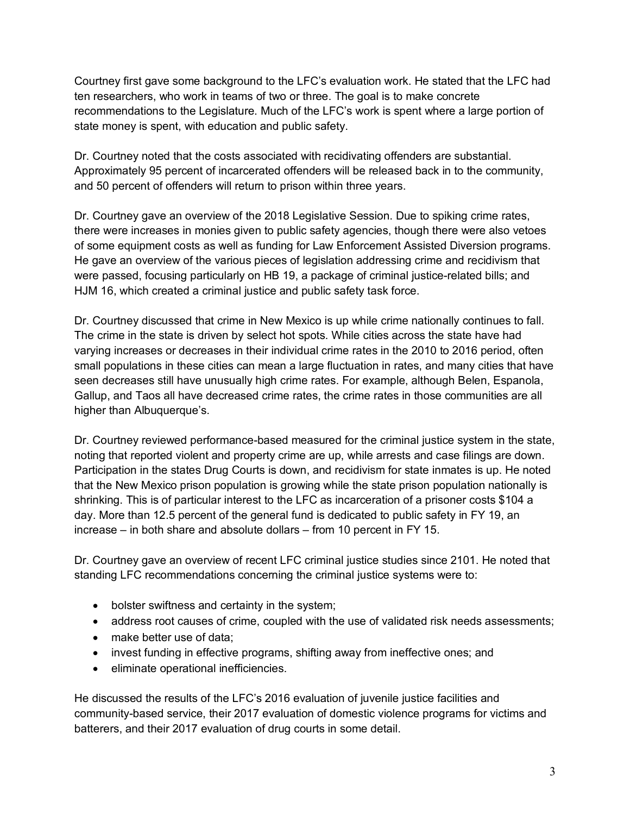Courtney first gave some background to the LFC's evaluation work. He stated that the LFC had ten researchers, who work in teams of two or three. The goal is to make concrete recommendations to the Legislature. Much of the LFC's work is spent where a large portion of state money is spent, with education and public safety.

Dr. Courtney noted that the costs associated with recidivating offenders are substantial. Approximately 95 percent of incarcerated offenders will be released back in to the community, and 50 percent of offenders will return to prison within three years.

Dr. Courtney gave an overview of the 2018 Legislative Session. Due to spiking crime rates, there were increases in monies given to public safety agencies, though there were also vetoes of some equipment costs as well as funding for Law Enforcement Assisted Diversion programs. He gave an overview of the various pieces of legislation addressing crime and recidivism that were passed, focusing particularly on HB 19, a package of criminal justice-related bills; and HJM 16, which created a criminal justice and public safety task force.

Dr. Courtney discussed that crime in New Mexico is up while crime nationally continues to fall. The crime in the state is driven by select hot spots. While cities across the state have had varying increases or decreases in their individual crime rates in the 2010 to 2016 period, often small populations in these cities can mean a large fluctuation in rates, and many cities that have seen decreases still have unusually high crime rates. For example, although Belen, Espanola, Gallup, and Taos all have decreased crime rates, the crime rates in those communities are all higher than Albuquerque's.

Dr. Courtney reviewed performance-based measured for the criminal justice system in the state, noting that reported violent and property crime are up, while arrests and case filings are down. Participation in the states Drug Courts is down, and recidivism for state inmates is up. He noted that the New Mexico prison population is growing while the state prison population nationally is shrinking. This is of particular interest to the LFC as incarceration of a prisoner costs \$104 a day. More than 12.5 percent of the general fund is dedicated to public safety in FY 19, an increase – in both share and absolute dollars – from 10 percent in FY 15.

Dr. Courtney gave an overview of recent LFC criminal justice studies since 2101. He noted that standing LFC recommendations concerning the criminal justice systems were to:

- bolster swiftness and certainty in the system;
- address root causes of crime, coupled with the use of validated risk needs assessments;
- make better use of data;
- invest funding in effective programs, shifting away from ineffective ones; and
- eliminate operational inefficiencies.

He discussed the results of the LFC's 2016 evaluation of juvenile justice facilities and community-based service, their 2017 evaluation of domestic violence programs for victims and batterers, and their 2017 evaluation of drug courts in some detail.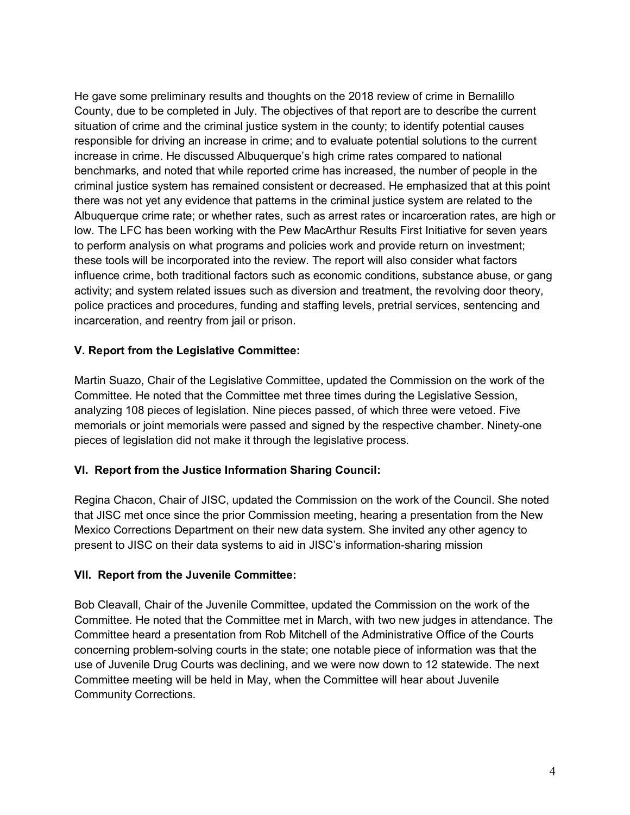He gave some preliminary results and thoughts on the 2018 review of crime in Bernalillo County, due to be completed in July. The objectives of that report are to describe the current situation of crime and the criminal justice system in the county; to identify potential causes responsible for driving an increase in crime; and to evaluate potential solutions to the current increase in crime. He discussed Albuquerque's high crime rates compared to national benchmarks, and noted that while reported crime has increased, the number of people in the criminal justice system has remained consistent or decreased. He emphasized that at this point there was not yet any evidence that patterns in the criminal justice system are related to the Albuquerque crime rate; or whether rates, such as arrest rates or incarceration rates, are high or low. The LFC has been working with the Pew MacArthur Results First Initiative for seven years to perform analysis on what programs and policies work and provide return on investment; these tools will be incorporated into the review. The report will also consider what factors influence crime, both traditional factors such as economic conditions, substance abuse, or gang activity; and system related issues such as diversion and treatment, the revolving door theory, police practices and procedures, funding and staffing levels, pretrial services, sentencing and incarceration, and reentry from jail or prison.

#### **V. Report from the Legislative Committee:**

Martin Suazo, Chair of the Legislative Committee, updated the Commission on the work of the Committee. He noted that the Committee met three times during the Legislative Session, analyzing 108 pieces of legislation. Nine pieces passed, of which three were vetoed. Five memorials or joint memorials were passed and signed by the respective chamber. Ninety-one pieces of legislation did not make it through the legislative process.

# **VI. Report from the Justice Information Sharing Council:**

Regina Chacon, Chair of JISC, updated the Commission on the work of the Council. She noted that JISC met once since the prior Commission meeting, hearing a presentation from the New Mexico Corrections Department on their new data system. She invited any other agency to present to JISC on their data systems to aid in JISC's information-sharing mission

#### **VII. Report from the Juvenile Committee:**

Bob Cleavall, Chair of the Juvenile Committee, updated the Commission on the work of the Committee. He noted that the Committee met in March, with two new judges in attendance. The Committee heard a presentation from Rob Mitchell of the Administrative Office of the Courts concerning problem-solving courts in the state; one notable piece of information was that the use of Juvenile Drug Courts was declining, and we were now down to 12 statewide. The next Committee meeting will be held in May, when the Committee will hear about Juvenile Community Corrections.